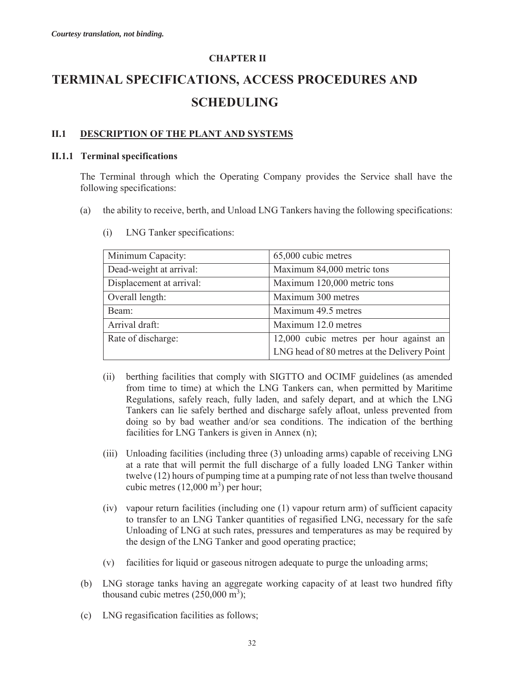# **CHAPTER II TERMINAL SPECIFICATIONS, ACCESS PROCEDURES AND SCHEDULING**

## **II.1 DESCRIPTION OF THE PLANT AND SYSTEMS**

### **II.1.1 Terminal specifications**

The Terminal through which the Operating Company provides the Service shall have the following specifications:

(a) the ability to receive, berth, and Unload LNG Tankers having the following specifications:

| Minimum Capacity:        | 65,000 cubic metres                         |
|--------------------------|---------------------------------------------|
| Dead-weight at arrival:  | Maximum 84,000 metric tons                  |
| Displacement at arrival: | Maximum 120,000 metric tons                 |
| Overall length:          | Maximum 300 metres                          |
| Beam:                    | Maximum 49.5 metres                         |
| Arrival draft:           | Maximum 12.0 metres                         |
| Rate of discharge:       | 12,000 cubic metres per hour against an     |
|                          | LNG head of 80 metres at the Delivery Point |

(i) LNG Tanker specifications:

- (ii) berthing facilities that comply with SIGTTO and OCIMF guidelines (as amended from time to time) at which the LNG Tankers can, when permitted by Maritime Regulations, safely reach, fully laden, and safely depart, and at which the LNG Tankers can lie safely berthed and discharge safely afloat, unless prevented from doing so by bad weather and/or sea conditions. The indication of the berthing facilities for LNG Tankers is given in Annex (n);
- (iii) Unloading facilities (including three (3) unloading arms) capable of receiving LNG at a rate that will permit the full discharge of a fully loaded LNG Tanker within twelve (12) hours of pumping time at a pumping rate of not less than twelve thousand cubic metres  $(12,000 \text{ m}^3)$  per hour;
- (iv) vapour return facilities (including one (1) vapour return arm) of sufficient capacity to transfer to an LNG Tanker quantities of regasified LNG, necessary for the safe Unloading of LNG at such rates, pressures and temperatures as may be required by the design of the LNG Tanker and good operating practice;
- (v) facilities for liquid or gaseous nitrogen adequate to purge the unloading arms;
- (b) LNG storage tanks having an aggregate working capacity of at least two hundred fifty thousand cubic metres  $(250,000 \text{ m}^3)$ ;
- (c) LNG regasification facilities as follows;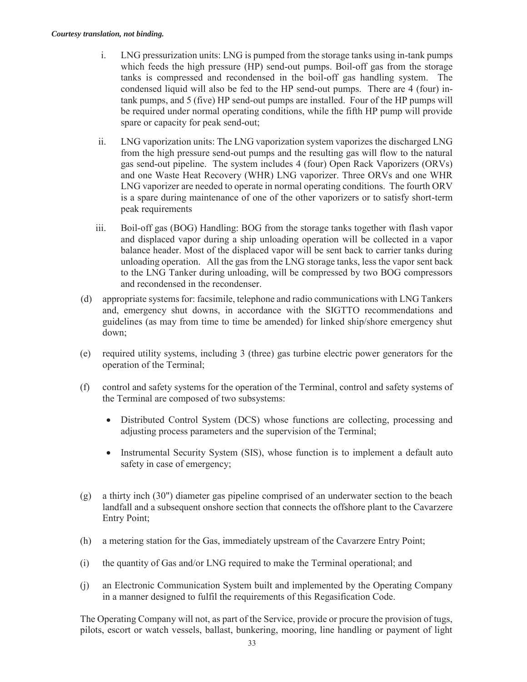- i. LNG pressurization units: LNG is pumped from the storage tanks using in-tank pumps which feeds the high pressure (HP) send-out pumps. Boil-off gas from the storage tanks is compressed and recondensed in the boil-off gas handling system. The condensed liquid will also be fed to the HP send-out pumps. There are 4 (four) intank pumps, and 5 (five) HP send-out pumps are installed. Four of the HP pumps will be required under normal operating conditions, while the fifth HP pump will provide spare or capacity for peak send-out;
- ii. LNG vaporization units: The LNG vaporization system vaporizes the discharged LNG from the high pressure send-out pumps and the resulting gas will flow to the natural gas send-out pipeline. The system includes 4 (four) Open Rack Vaporizers (ORVs) and one Waste Heat Recovery (WHR) LNG vaporizer. Three ORVs and one WHR LNG vaporizer are needed to operate in normal operating conditions. The fourth ORV is a spare during maintenance of one of the other vaporizers or to satisfy short-term peak requirements
- iii. Boil-off gas (BOG) Handling: BOG from the storage tanks together with flash vapor and displaced vapor during a ship unloading operation will be collected in a vapor balance header. Most of the displaced vapor will be sent back to carrier tanks during unloading operation. All the gas from the LNG storage tanks, less the vapor sent back to the LNG Tanker during unloading, will be compressed by two BOG compressors and recondensed in the recondenser.
- (d) appropriate systems for: facsimile, telephone and radio communications with LNG Tankers and, emergency shut downs, in accordance with the SIGTTO recommendations and guidelines (as may from time to time be amended) for linked ship/shore emergency shut down;
- (e) required utility systems, including 3 (three) gas turbine electric power generators for the operation of the Terminal;
- (f) control and safety systems for the operation of the Terminal, control and safety systems of the Terminal are composed of two subsystems:
	- Distributed Control System (DCS) whose functions are collecting, processing and adjusting process parameters and the supervision of the Terminal;
	- Instrumental Security System (SIS), whose function is to implement a default auto safety in case of emergency;
- (g) a thirty inch (30") diameter gas pipeline comprised of an underwater section to the beach landfall and a subsequent onshore section that connects the offshore plant to the Cavarzere Entry Point;
- (h) a metering station for the Gas, immediately upstream of the Cavarzere Entry Point;
- (i) the quantity of Gas and/or LNG required to make the Terminal operational; and
- (j) an Electronic Communication System built and implemented by the Operating Company in a manner designed to fulfil the requirements of this Regasification Code.

The Operating Company will not, as part of the Service, provide or procure the provision of tugs, pilots, escort or watch vessels, ballast, bunkering, mooring, line handling or payment of light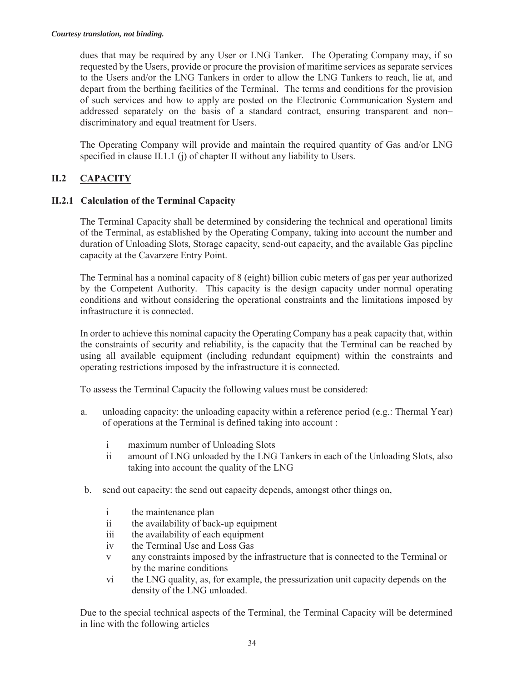dues that may be required by any User or LNG Tanker. The Operating Company may, if so requested by the Users, provide or procure the provision of maritime services as separate services to the Users and/or the LNG Tankers in order to allow the LNG Tankers to reach, lie at, and depart from the berthing facilities of the Terminal. The terms and conditions for the provision of such services and how to apply are posted on the Electronic Communication System and addressed separately on the basis of a standard contract, ensuring transparent and non– discriminatory and equal treatment for Users.

The Operating Company will provide and maintain the required quantity of Gas and/or LNG specified in clause II.1.1 (j) of chapter II without any liability to Users.

# **II.2 CAPACITY**

# **II.2.1 Calculation of the Terminal Capacity**

The Terminal Capacity shall be determined by considering the technical and operational limits of the Terminal, as established by the Operating Company, taking into account the number and duration of Unloading Slots, Storage capacity, send-out capacity, and the available Gas pipeline capacity at the Cavarzere Entry Point.

The Terminal has a nominal capacity of 8 (eight) billion cubic meters of gas per year authorized by the Competent Authority. This capacity is the design capacity under normal operating conditions and without considering the operational constraints and the limitations imposed by infrastructure it is connected.

In order to achieve this nominal capacity the Operating Company has a peak capacity that, within the constraints of security and reliability, is the capacity that the Terminal can be reached by using all available equipment (including redundant equipment) within the constraints and operating restrictions imposed by the infrastructure it is connected.

To assess the Terminal Capacity the following values must be considered:

- a. unloading capacity: the unloading capacity within a reference period (e.g.: Thermal Year) of operations at the Terminal is defined taking into account :
	- i maximum number of Unloading Slots
	- ii amount of LNG unloaded by the LNG Tankers in each of the Unloading Slots, also taking into account the quality of the LNG
- b. send out capacity: the send out capacity depends, amongst other things on,
	- i the maintenance plan
	- ii the availability of back-up equipment
	- iii the availability of each equipment
	- iv the Terminal Use and Loss Gas
	- v any constraints imposed by the infrastructure that is connected to the Terminal or by the marine conditions
	- vi the LNG quality, as, for example, the pressurization unit capacity depends on the density of the LNG unloaded.

Due to the special technical aspects of the Terminal, the Terminal Capacity will be determined in line with the following articles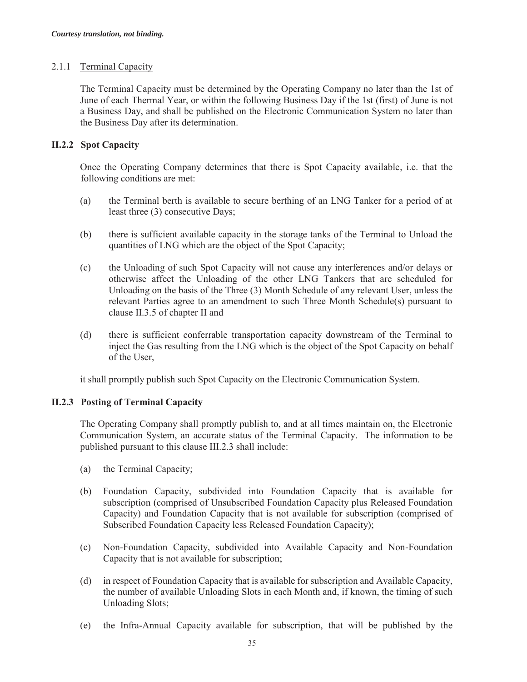## 2.1.1 Terminal Capacity

The Terminal Capacity must be determined by the Operating Company no later than the 1st of June of each Thermal Year, or within the following Business Day if the 1st (first) of June is not a Business Day, and shall be published on the Electronic Communication System no later than the Business Day after its determination.

# **II.2.2 Spot Capacity**

Once the Operating Company determines that there is Spot Capacity available, i.e. that the following conditions are met:

- (a) the Terminal berth is available to secure berthing of an LNG Tanker for a period of at least three (3) consecutive Days;
- (b) there is sufficient available capacity in the storage tanks of the Terminal to Unload the quantities of LNG which are the object of the Spot Capacity;
- (c) the Unloading of such Spot Capacity will not cause any interferences and/or delays or otherwise affect the Unloading of the other LNG Tankers that are scheduled for Unloading on the basis of the Three (3) Month Schedule of any relevant User, unless the relevant Parties agree to an amendment to such Three Month Schedule(s) pursuant to clause II.3.5 of chapter II and
- (d) there is sufficient conferrable transportation capacity downstream of the Terminal to inject the Gas resulting from the LNG which is the object of the Spot Capacity on behalf of the User,

it shall promptly publish such Spot Capacity on the Electronic Communication System.

# **II.2.3 Posting of Terminal Capacity**

The Operating Company shall promptly publish to, and at all times maintain on, the Electronic Communication System, an accurate status of the Terminal Capacity. The information to be published pursuant to this clause III.2.3 shall include:

- (a) the Terminal Capacity;
- (b) Foundation Capacity, subdivided into Foundation Capacity that is available for subscription (comprised of Unsubscribed Foundation Capacity plus Released Foundation Capacity) and Foundation Capacity that is not available for subscription (comprised of Subscribed Foundation Capacity less Released Foundation Capacity);
- (c) Non-Foundation Capacity, subdivided into Available Capacity and Non-Foundation Capacity that is not available for subscription;
- (d) in respect of Foundation Capacity that is available for subscription and Available Capacity, the number of available Unloading Slots in each Month and, if known, the timing of such Unloading Slots;
- (e) the Infra-Annual Capacity available for subscription, that will be published by the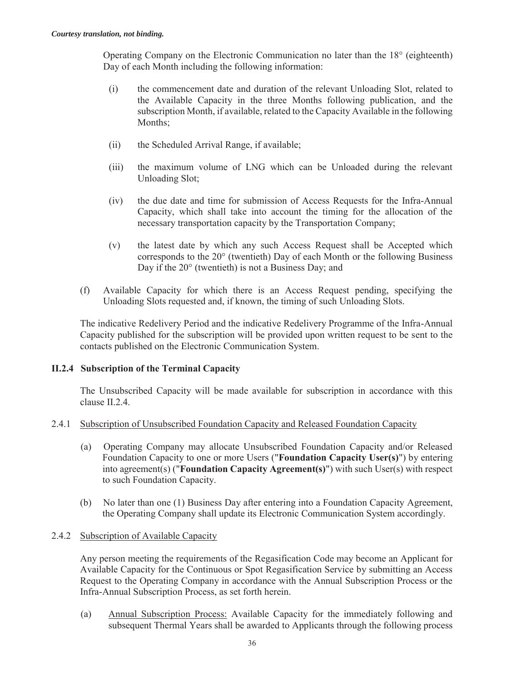Operating Company on the Electronic Communication no later than the 18° (eighteenth) Day of each Month including the following information:

- (i) the commencement date and duration of the relevant Unloading Slot, related to the Available Capacity in the three Months following publication, and the subscription Month, if available, related to the Capacity Available in the following Months;
- (ii) the Scheduled Arrival Range, if available;
- (iii) the maximum volume of LNG which can be Unloaded during the relevant Unloading Slot;
- (iv) the due date and time for submission of Access Requests for the Infra-Annual Capacity, which shall take into account the timing for the allocation of the necessary transportation capacity by the Transportation Company;
- (v) the latest date by which any such Access Request shall be Accepted which corresponds to the 20° (twentieth) Day of each Month or the following Business Day if the 20° (twentieth) is not a Business Day; and
- (f) Available Capacity for which there is an Access Request pending, specifying the Unloading Slots requested and, if known, the timing of such Unloading Slots.

The indicative Redelivery Period and the indicative Redelivery Programme of the Infra-Annual Capacity published for the subscription will be provided upon written request to be sent to the contacts published on the Electronic Communication System.

# **II.2.4 Subscription of the Terminal Capacity**

The Unsubscribed Capacity will be made available for subscription in accordance with this clause II.2.4.

# 2.4.1 Subscription of Unsubscribed Foundation Capacity and Released Foundation Capacity

- (a) Operating Company may allocate Unsubscribed Foundation Capacity and/or Released Foundation Capacity to one or more Users ("**Foundation Capacity User(s)**") by entering into agreement(s) ("**Foundation Capacity Agreement(s)**") with such User(s) with respect to such Foundation Capacity.
- (b) No later than one (1) Business Day after entering into a Foundation Capacity Agreement, the Operating Company shall update its Electronic Communication System accordingly.

# 2.4.2 Subscription of Available Capacity

Any person meeting the requirements of the Regasification Code may become an Applicant for Available Capacity for the Continuous or Spot Regasification Service by submitting an Access Request to the Operating Company in accordance with the Annual Subscription Process or the Infra-Annual Subscription Process, as set forth herein.

(a) Annual Subscription Process: Available Capacity for the immediately following and subsequent Thermal Years shall be awarded to Applicants through the following process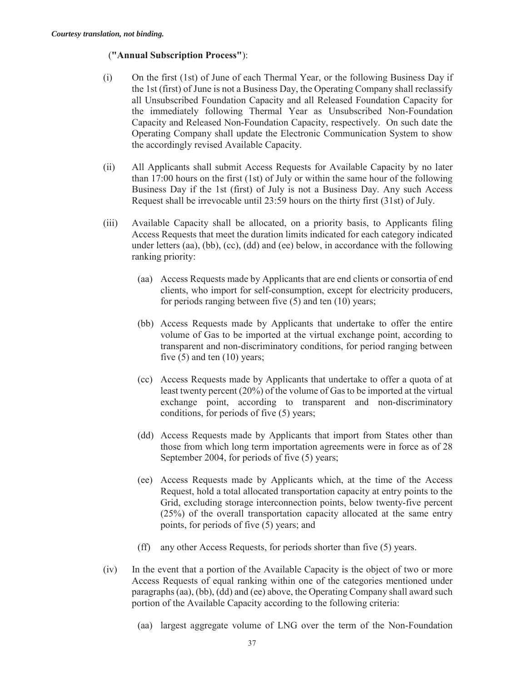## (**"Annual Subscription Process"**):

- (i) On the first (1st) of June of each Thermal Year, or the following Business Day if the 1st (first) of June is not a Business Day, the Operating Company shall reclassify all Unsubscribed Foundation Capacity and all Released Foundation Capacity for the immediately following Thermal Year as Unsubscribed Non-Foundation Capacity and Released Non-Foundation Capacity, respectively. On such date the Operating Company shall update the Electronic Communication System to show the accordingly revised Available Capacity.
- (ii) All Applicants shall submit Access Requests for Available Capacity by no later than 17:00 hours on the first (1st) of July or within the same hour of the following Business Day if the 1st (first) of July is not a Business Day. Any such Access Request shall be irrevocable until 23:59 hours on the thirty first (31st) of July.
- (iii) Available Capacity shall be allocated, on a priority basis, to Applicants filing Access Requests that meet the duration limits indicated for each category indicated under letters (aa), (bb), (cc), (dd) and (ee) below, in accordance with the following ranking priority:
	- (aa) Access Requests made by Applicants that are end clients or consortia of end clients, who import for self-consumption, except for electricity producers, for periods ranging between five (5) and ten (10) years;
	- (bb) Access Requests made by Applicants that undertake to offer the entire volume of Gas to be imported at the virtual exchange point, according to transparent and non-discriminatory conditions, for period ranging between five  $(5)$  and ten  $(10)$  years;
	- (cc) Access Requests made by Applicants that undertake to offer a quota of at least twenty percent (20%) of the volume of Gas to be imported at the virtual exchange point, according to transparent and non-discriminatory conditions, for periods of five (5) years;
	- (dd) Access Requests made by Applicants that import from States other than those from which long term importation agreements were in force as of 28 September 2004, for periods of five (5) years;
	- (ee) Access Requests made by Applicants which, at the time of the Access Request, hold a total allocated transportation capacity at entry points to the Grid, excluding storage interconnection points, below twenty-five percent (25%) of the overall transportation capacity allocated at the same entry points, for periods of five (5) years; and
	- (ff) any other Access Requests, for periods shorter than five (5) years.
- (iv) In the event that a portion of the Available Capacity is the object of two or more Access Requests of equal ranking within one of the categories mentioned under paragraphs (aa), (bb), (dd) and (ee) above, the Operating Company shall award such portion of the Available Capacity according to the following criteria:
	- (aa) largest aggregate volume of LNG over the term of the Non-Foundation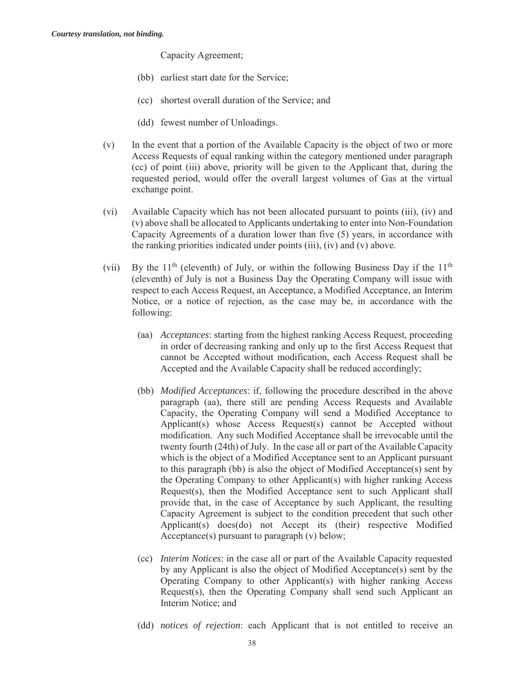Capacity Agreement;

- (bb) earliest start date for the Service;
- (cc) shortest overall duration of the Service; and
- (dd) fewest number of Unloadings.
- (v) In the event that a portion of the Available Capacity is the object of two or more Access Requests of equal ranking within the category mentioned under paragraph (cc) of point (iii) above, priority will be given to the Applicant that, during the requested period, would offer the overall largest volumes of Gas at the virtual exchange point.
- (vi) Available Capacity which has not been allocated pursuant to points (iii), (iv) and (v) above shall be allocated to Applicants undertaking to enter into Non-Foundation Capacity Agreements of a duration lower than five (5) years, in accordance with the ranking priorities indicated under points (iii), (iv) and (v) above.
- (vii) By the  $11<sup>th</sup>$  (eleventh) of July, or within the following Business Day if the  $11<sup>th</sup>$ (eleventh) of July is not a Business Day the Operating Company will issue with respect to each Access Request, an Acceptance, a Modified Acceptance, an Interim Notice, or a notice of rejection, as the case may be, in accordance with the following:
	- (aa) *Acceptances*: starting from the highest ranking Access Request, proceeding in order of decreasing ranking and only up to the first Access Request that cannot be Accepted without modification, each Access Request shall be Accepted and the Available Capacity shall be reduced accordingly;
	- (bb) *Modified Acceptances*: if, following the procedure described in the above paragraph (aa), there still are pending Access Requests and Available Capacity, the Operating Company will send a Modified Acceptance to Applicant(s) whose Access Request(s) cannot be Accepted without modification. Any such Modified Acceptance shall be irrevocable until the twenty fourth (24th) of July. In the case all or part of the Available Capacity which is the object of a Modified Acceptance sent to an Applicant pursuant to this paragraph (bb) is also the object of Modified Acceptance(s) sent by the Operating Company to other Applicant(s) with higher ranking Access Request(s), then the Modified Acceptance sent to such Applicant shall provide that, in the case of Acceptance by such Applicant, the resulting Capacity Agreement is subject to the condition precedent that such other Applicant(s) does(do) not Accept its (their) respective Modified Acceptance(s) pursuant to paragraph (v) below;
	- (cc) *Interim Notices*: in the case all or part of the Available Capacity requested by any Applicant is also the object of Modified Acceptance(s) sent by the Operating Company to other Applicant(s) with higher ranking Access Request(s), then the Operating Company shall send such Applicant an Interim Notice; and
	- (dd) *notices of rejection*: each Applicant that is not entitled to receive an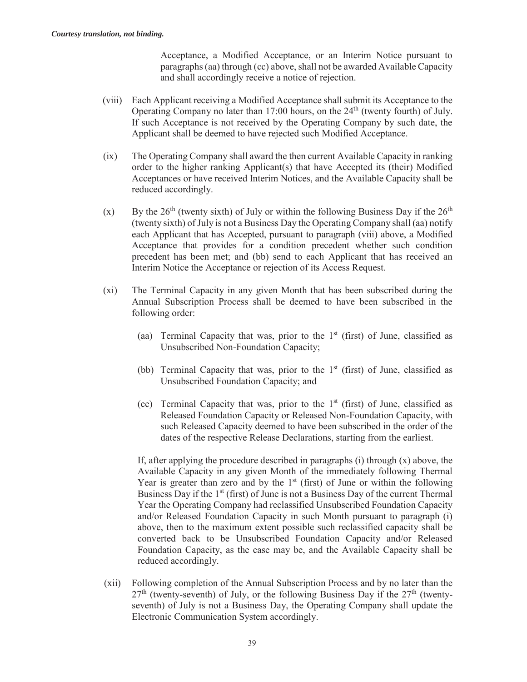Acceptance, a Modified Acceptance, or an Interim Notice pursuant to paragraphs (aa) through (cc) above, shall not be awarded Available Capacity and shall accordingly receive a notice of rejection.

- (viii) Each Applicant receiving a Modified Acceptance shall submit its Acceptance to the Operating Company no later than 17:00 hours, on the  $24<sup>th</sup>$  (twenty fourth) of July. If such Acceptance is not received by the Operating Company by such date, the Applicant shall be deemed to have rejected such Modified Acceptance.
- (ix) The Operating Company shall award the then current Available Capacity in ranking order to the higher ranking Applicant(s) that have Accepted its (their) Modified Acceptances or have received Interim Notices, and the Available Capacity shall be reduced accordingly.
- (x) By the  $26<sup>th</sup>$  (twenty sixth) of July or within the following Business Day if the  $26<sup>th</sup>$ (twenty sixth) of July is not a Business Day the Operating Company shall (aa) notify each Applicant that has Accepted, pursuant to paragraph (viii) above, a Modified Acceptance that provides for a condition precedent whether such condition precedent has been met; and (bb) send to each Applicant that has received an Interim Notice the Acceptance or rejection of its Access Request.
- (xi) The Terminal Capacity in any given Month that has been subscribed during the Annual Subscription Process shall be deemed to have been subscribed in the following order:
	- (aa) Terminal Capacity that was, prior to the  $1<sup>st</sup>$  (first) of June, classified as Unsubscribed Non-Foundation Capacity;
	- (bb) Terminal Capacity that was, prior to the  $1<sup>st</sup>$  (first) of June, classified as Unsubscribed Foundation Capacity; and
	- (cc) Terminal Capacity that was, prior to the  $1<sup>st</sup>$  (first) of June, classified as Released Foundation Capacity or Released Non-Foundation Capacity, with such Released Capacity deemed to have been subscribed in the order of the dates of the respective Release Declarations, starting from the earliest.

If, after applying the procedure described in paragraphs  $(i)$  through  $(x)$  above, the Available Capacity in any given Month of the immediately following Thermal Year is greater than zero and by the  $1<sup>st</sup>$  (first) of June or within the following Business Day if the 1<sup>st</sup> (first) of June is not a Business Day of the current Thermal Year the Operating Company had reclassified Unsubscribed Foundation Capacity and/or Released Foundation Capacity in such Month pursuant to paragraph (i) above, then to the maximum extent possible such reclassified capacity shall be converted back to be Unsubscribed Foundation Capacity and/or Released Foundation Capacity, as the case may be, and the Available Capacity shall be reduced accordingly.

(xii) Following completion of the Annual Subscription Process and by no later than the  $27<sup>th</sup>$  (twenty-seventh) of July, or the following Business Day if the  $27<sup>th</sup>$  (twentyseventh) of July is not a Business Day, the Operating Company shall update the Electronic Communication System accordingly.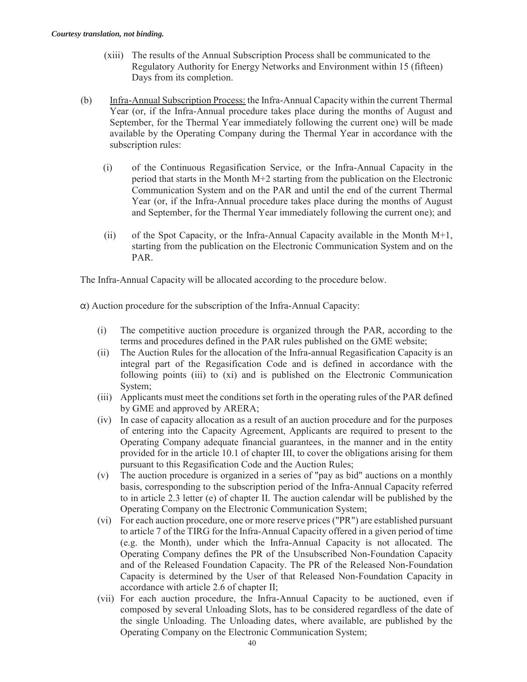- (xiii) The results of the Annual Subscription Process shall be communicated to the Regulatory Authority for Energy Networks and Environment within 15 (fifteen) Days from its completion.
- (b) Infra-Annual Subscription Process: the Infra-Annual Capacity within the current Thermal Year (or, if the Infra-Annual procedure takes place during the months of August and September, for the Thermal Year immediately following the current one) will be made available by the Operating Company during the Thermal Year in accordance with the subscription rules:
	- (i) of the Continuous Regasification Service, or the Infra-Annual Capacity in the period that starts in the Month M+2 starting from the publication on the Electronic Communication System and on the PAR and until the end of the current Thermal Year (or, if the Infra-Annual procedure takes place during the months of August and September, for the Thermal Year immediately following the current one); and
	- (ii) of the Spot Capacity, or the Infra-Annual Capacity available in the Month M+1, starting from the publication on the Electronic Communication System and on the PAR.

The Infra-Annual Capacity will be allocated according to the procedure below.

 $\alpha$ ) Auction procedure for the subscription of the Infra-Annual Capacity:

- (i) The competitive auction procedure is organized through the PAR, according to the terms and procedures defined in the PAR rules published on the GME website;
- (ii) The Auction Rules for the allocation of the Infra-annual Regasification Capacity is an integral part of the Regasification Code and is defined in accordance with the following points (iii) to (xi) and is published on the Electronic Communication System;
- (iii) Applicants must meet the conditions set forth in the operating rules of the PAR defined by GME and approved by ARERA;
- (iv) In case of capacity allocation as a result of an auction procedure and for the purposes of entering into the Capacity Agreement, Applicants are required to present to the Operating Company adequate financial guarantees, in the manner and in the entity provided for in the article 10.1 of chapter III, to cover the obligations arising for them pursuant to this Regasification Code and the Auction Rules;
- (v) The auction procedure is organized in a series of "pay as bid" auctions on a monthly basis, corresponding to the subscription period of the Infra-Annual Capacity referred to in article 2.3 letter (e) of chapter II. The auction calendar will be published by the Operating Company on the Electronic Communication System;
- (vi) For each auction procedure, one or more reserve prices ("PR") are established pursuant to article 7 of the TIRG for the Infra-Annual Capacity offered in a given period of time (e.g. the Month), under which the Infra-Annual Capacity is not allocated. The Operating Company defines the PR of the Unsubscribed Non-Foundation Capacity and of the Released Foundation Capacity. The PR of the Released Non-Foundation Capacity is determined by the User of that Released Non-Foundation Capacity in accordance with article 2.6 of chapter II;
- (vii) For each auction procedure, the Infra-Annual Capacity to be auctioned, even if composed by several Unloading Slots, has to be considered regardless of the date of the single Unloading. The Unloading dates, where available, are published by the Operating Company on the Electronic Communication System;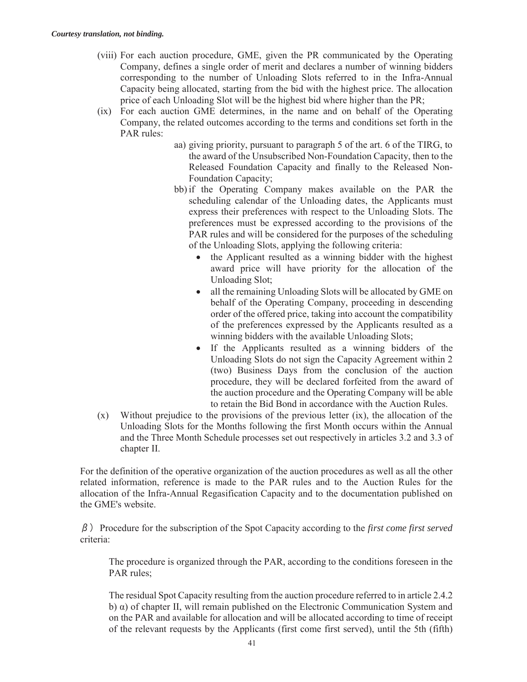- (viii) For each auction procedure, GME, given the PR communicated by the Operating Company, defines a single order of merit and declares a number of winning bidders corresponding to the number of Unloading Slots referred to in the Infra-Annual Capacity being allocated, starting from the bid with the highest price. The allocation price of each Unloading Slot will be the highest bid where higher than the PR;
- (ix) For each auction GME determines, in the name and on behalf of the Operating Company, the related outcomes according to the terms and conditions set forth in the PAR rules:
	- aa) giving priority, pursuant to paragraph 5 of the art. 6 of the TIRG, to the award of the Unsubscribed Non-Foundation Capacity, then to the Released Foundation Capacity and finally to the Released Non-Foundation Capacity;
	- bb) if the Operating Company makes available on the PAR the scheduling calendar of the Unloading dates, the Applicants must express their preferences with respect to the Unloading Slots. The preferences must be expressed according to the provisions of the PAR rules and will be considered for the purposes of the scheduling of the Unloading Slots, applying the following criteria:
		- $\bullet$  the Applicant resulted as a winning bidder with the highest award price will have priority for the allocation of the Unloading Slot;
		- $\bullet$  all the remaining Unloading Slots will be allocated by GME on behalf of the Operating Company, proceeding in descending order of the offered price, taking into account the compatibility of the preferences expressed by the Applicants resulted as a winning bidders with the available Unloading Slots;
		- If the Applicants resulted as a winning bidders of the Unloading Slots do not sign the Capacity Agreement within 2 (two) Business Days from the conclusion of the auction procedure, they will be declared forfeited from the award of the auction procedure and the Operating Company will be able to retain the Bid Bond in accordance with the Auction Rules.
- (x) Without prejudice to the provisions of the previous letter (ix), the allocation of the Unloading Slots for the Months following the first Month occurs within the Annual and the Three Month Schedule processes set out respectively in articles 3.2 and 3.3 of chapter II.

For the definition of the operative organization of the auction procedures as well as all the other related information, reference is made to the PAR rules and to the Auction Rules for the allocation of the Infra-Annual Regasification Capacity and to the documentation published on the GME's website.

șProcedure for the subscription of the Spot Capacity according to the *first come first served* criteria:

The procedure is organized through the PAR, according to the conditions foreseen in the PAR rules;

The residual Spot Capacity resulting from the auction procedure referred to in article 2.4.2 b) α) of chapter II, will remain published on the Electronic Communication System and on the PAR and available for allocation and will be allocated according to time of receipt of the relevant requests by the Applicants (first come first served), until the 5th (fifth)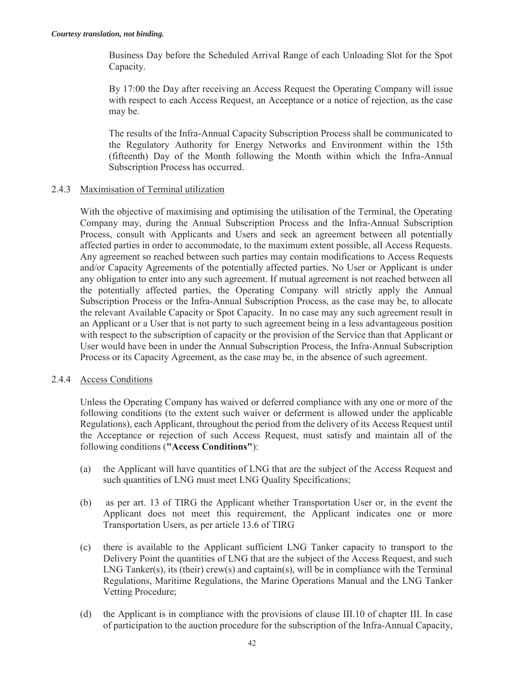Business Day before the Scheduled Arrival Range of each Unloading Slot for the Spot Capacity.

By 17:00 the Day after receiving an Access Request the Operating Company will issue with respect to each Access Request, an Acceptance or a notice of rejection, as the case may be.

The results of the Infra-Annual Capacity Subscription Process shall be communicated to the Regulatory Authority for Energy Networks and Environment within the 15th (fifteenth) Day of the Month following the Month within which the Infra-Annual Subscription Process has occurred.

## 2.4.3 Maximisation of Terminal utilization

With the objective of maximising and optimising the utilisation of the Terminal, the Operating Company may, during the Annual Subscription Process and the Infra-Annual Subscription Process, consult with Applicants and Users and seek an agreement between all potentially affected parties in order to accommodate, to the maximum extent possible, all Access Requests. Any agreement so reached between such parties may contain modifications to Access Requests and/or Capacity Agreements of the potentially affected parties. No User or Applicant is under any obligation to enter into any such agreement. If mutual agreement is not reached between all the potentially affected parties, the Operating Company will strictly apply the Annual Subscription Process or the Infra-Annual Subscription Process, as the case may be, to allocate the relevant Available Capacity or Spot Capacity. In no case may any such agreement result in an Applicant or a User that is not party to such agreement being in a less advantageous position with respect to the subscription of capacity or the provision of the Service than that Applicant or User would have been in under the Annual Subscription Process, the Infra-Annual Subscription Process or its Capacity Agreement, as the case may be, in the absence of such agreement.

## 2.4.4 Access Conditions

Unless the Operating Company has waived or deferred compliance with any one or more of the following conditions (to the extent such waiver or deferment is allowed under the applicable Regulations), each Applicant, throughout the period from the delivery of its Access Request until the Acceptance or rejection of such Access Request, must satisfy and maintain all of the following conditions (**"Access Conditions"**):

- (a) the Applicant will have quantities of LNG that are the subject of the Access Request and such quantities of LNG must meet LNG Quality Specifications;
- (b) as per art. 13 of TIRG the Applicant whether Transportation User or, in the event the Applicant does not meet this requirement, the Applicant indicates one or more Transportation Users, as per article 13.6 of TIRG
- (c) there is available to the Applicant sufficient LNG Tanker capacity to transport to the Delivery Point the quantities of LNG that are the subject of the Access Request, and such LNG Tanker(s), its (their) crew(s) and captain(s), will be in compliance with the Terminal Regulations, Maritime Regulations, the Marine Operations Manual and the LNG Tanker Vetting Procedure;
- (d) the Applicant is in compliance with the provisions of clause III.10 of chapter III. In case of participation to the auction procedure for the subscription of the Infra-Annual Capacity,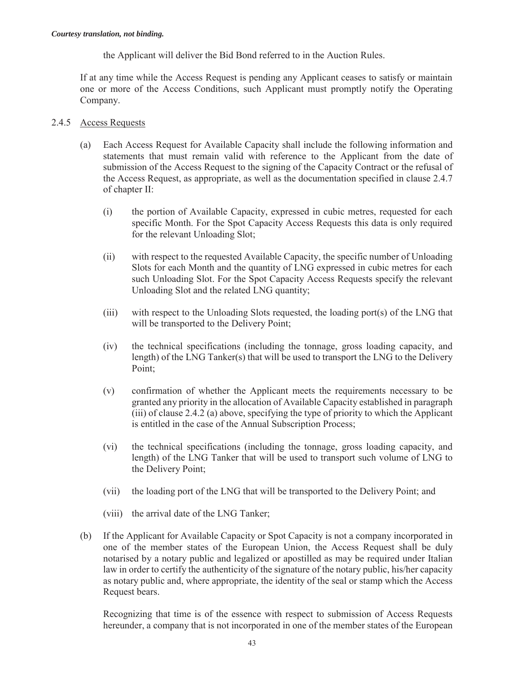the Applicant will deliver the Bid Bond referred to in the Auction Rules.

If at any time while the Access Request is pending any Applicant ceases to satisfy or maintain one or more of the Access Conditions, such Applicant must promptly notify the Operating Company.

# 2.4.5 Access Requests

- (a) Each Access Request for Available Capacity shall include the following information and statements that must remain valid with reference to the Applicant from the date of submission of the Access Request to the signing of the Capacity Contract or the refusal of the Access Request, as appropriate, as well as the documentation specified in clause 2.4.7 of chapter II:
	- (i) the portion of Available Capacity, expressed in cubic metres, requested for each specific Month. For the Spot Capacity Access Requests this data is only required for the relevant Unloading Slot;
	- (ii) with respect to the requested Available Capacity, the specific number of Unloading Slots for each Month and the quantity of LNG expressed in cubic metres for each such Unloading Slot. For the Spot Capacity Access Requests specify the relevant Unloading Slot and the related LNG quantity;
	- (iii) with respect to the Unloading Slots requested, the loading port(s) of the LNG that will be transported to the Delivery Point;
	- (iv) the technical specifications (including the tonnage, gross loading capacity, and length) of the LNG Tanker(s) that will be used to transport the LNG to the Delivery Point;
	- (v) confirmation of whether the Applicant meets the requirements necessary to be granted any priority in the allocation of Available Capacity established in paragraph (iii) of clause 2.4.2 (a) above, specifying the type of priority to which the Applicant is entitled in the case of the Annual Subscription Process;
	- (vi) the technical specifications (including the tonnage, gross loading capacity, and length) of the LNG Tanker that will be used to transport such volume of LNG to the Delivery Point;
	- (vii) the loading port of the LNG that will be transported to the Delivery Point; and
	- (viii) the arrival date of the LNG Tanker;
- (b) If the Applicant for Available Capacity or Spot Capacity is not a company incorporated in one of the member states of the European Union, the Access Request shall be duly notarised by a notary public and legalized or apostilled as may be required under Italian law in order to certify the authenticity of the signature of the notary public, his/her capacity as notary public and, where appropriate, the identity of the seal or stamp which the Access Request bears.

Recognizing that time is of the essence with respect to submission of Access Requests hereunder, a company that is not incorporated in one of the member states of the European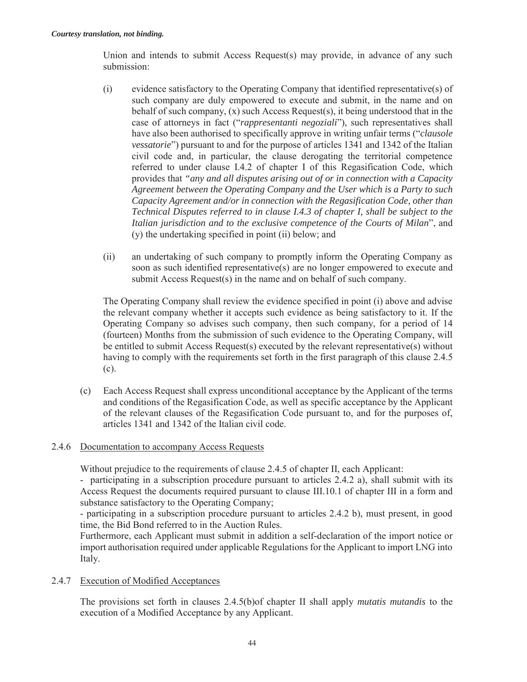Union and intends to submit Access Request(s) may provide, in advance of any such submission:

- (i) evidence satisfactory to the Operating Company that identified representative(s) of such company are duly empowered to execute and submit, in the name and on behalf of such company, (x) such Access Request(s), it being understood that in the case of attorneys in fact ("*rappresentanti negoziali*"), such representatives shall have also been authorised to specifically approve in writing unfair terms ("*clausole vessatorie*") pursuant to and for the purpose of articles 1341 and 1342 of the Italian civil code and, in particular, the clause derogating the territorial competence referred to under clause I.4.2 of chapter I of this Regasification Code, which provides that *"any and all disputes arising out of or in connection with a Capacity Agreement between the Operating Company and the User which is a Party to such Capacity Agreement and/or in connection with the Regasification Code, other than Technical Disputes referred to in clause I.4.3 of chapter I, shall be subject to the Italian jurisdiction and to the exclusive competence of the Courts of Milan*", and (y) the undertaking specified in point (ii) below; and
- (ii) an undertaking of such company to promptly inform the Operating Company as soon as such identified representative(s) are no longer empowered to execute and submit Access Request(s) in the name and on behalf of such company.

The Operating Company shall review the evidence specified in point (i) above and advise the relevant company whether it accepts such evidence as being satisfactory to it. If the Operating Company so advises such company, then such company, for a period of 14 (fourteen) Months from the submission of such evidence to the Operating Company, will be entitled to submit Access Request(s) executed by the relevant representative(s) without having to comply with the requirements set forth in the first paragraph of this clause 2.4.5 (c).

(c) Each Access Request shall express unconditional acceptance by the Applicant of the terms and conditions of the Regasification Code, as well as specific acceptance by the Applicant of the relevant clauses of the Regasification Code pursuant to, and for the purposes of, articles 1341 and 1342 of the Italian civil code.

## 2.4.6 Documentation to accompany Access Requests

Without prejudice to the requirements of clause 2.4.5 of chapter II, each Applicant:

- participating in a subscription procedure pursuant to articles 2.4.2 a), shall submit with its Access Request the documents required pursuant to clause III.10.1 of chapter III in a form and substance satisfactory to the Operating Company;

- participating in a subscription procedure pursuant to articles 2.4.2 b), must present, in good time, the Bid Bond referred to in the Auction Rules.

Furthermore, each Applicant must submit in addition a self-declaration of the import notice or import authorisation required under applicable Regulations for the Applicant to import LNG into Italy.

## 2.4.7 Execution of Modified Acceptances

The provisions set forth in clauses 2.4.5(b)of chapter II shall apply *mutatis mutandis* to the execution of a Modified Acceptance by any Applicant.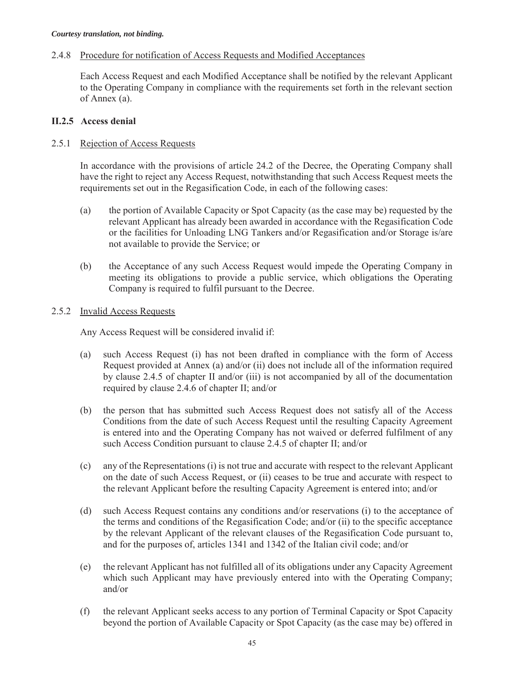## 2.4.8 Procedure for notification of Access Requests and Modified Acceptances

Each Access Request and each Modified Acceptance shall be notified by the relevant Applicant to the Operating Company in compliance with the requirements set forth in the relevant section of Annex (a).

## **II.2.5 Access denial**

## 2.5.1 Rejection of Access Requests

In accordance with the provisions of article 24.2 of the Decree, the Operating Company shall have the right to reject any Access Request, notwithstanding that such Access Request meets the requirements set out in the Regasification Code, in each of the following cases:

- (a) the portion of Available Capacity or Spot Capacity (as the case may be) requested by the relevant Applicant has already been awarded in accordance with the Regasification Code or the facilities for Unloading LNG Tankers and/or Regasification and/or Storage is/are not available to provide the Service; or
- (b) the Acceptance of any such Access Request would impede the Operating Company in meeting its obligations to provide a public service, which obligations the Operating Company is required to fulfil pursuant to the Decree.

## 2.5.2 Invalid Access Requests

Any Access Request will be considered invalid if:

- (a) such Access Request (i) has not been drafted in compliance with the form of Access Request provided at Annex (a) and/or (ii) does not include all of the information required by clause 2.4.5 of chapter II and/or (iii) is not accompanied by all of the documentation required by clause 2.4.6 of chapter II; and/or
- (b) the person that has submitted such Access Request does not satisfy all of the Access Conditions from the date of such Access Request until the resulting Capacity Agreement is entered into and the Operating Company has not waived or deferred fulfilment of any such Access Condition pursuant to clause 2.4.5 of chapter II; and/or
- (c) any of the Representations (i) is not true and accurate with respect to the relevant Applicant on the date of such Access Request, or (ii) ceases to be true and accurate with respect to the relevant Applicant before the resulting Capacity Agreement is entered into; and/or
- (d) such Access Request contains any conditions and/or reservations (i) to the acceptance of the terms and conditions of the Regasification Code; and/or (ii) to the specific acceptance by the relevant Applicant of the relevant clauses of the Regasification Code pursuant to, and for the purposes of, articles 1341 and 1342 of the Italian civil code; and/or
- (e) the relevant Applicant has not fulfilled all of its obligations under any Capacity Agreement which such Applicant may have previously entered into with the Operating Company; and/or
- (f) the relevant Applicant seeks access to any portion of Terminal Capacity or Spot Capacity beyond the portion of Available Capacity or Spot Capacity (as the case may be) offered in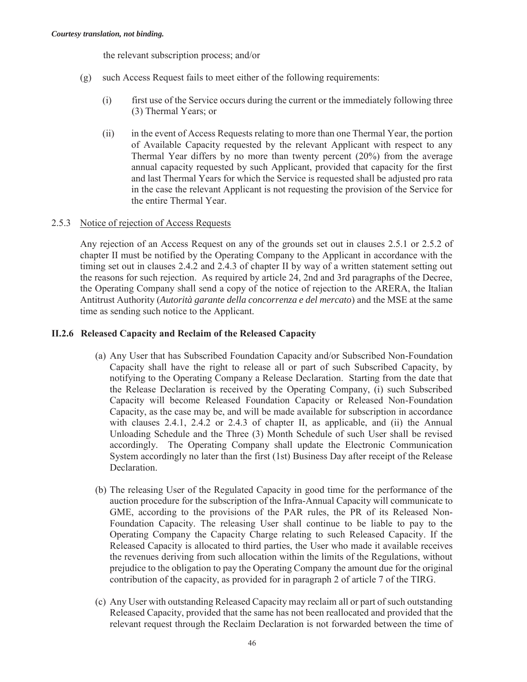the relevant subscription process; and/or

- (g) such Access Request fails to meet either of the following requirements:
	- (i) first use of the Service occurs during the current or the immediately following three (3) Thermal Years; or
	- (ii) in the event of Access Requests relating to more than one Thermal Year, the portion of Available Capacity requested by the relevant Applicant with respect to any Thermal Year differs by no more than twenty percent (20%) from the average annual capacity requested by such Applicant, provided that capacity for the first and last Thermal Years for which the Service is requested shall be adjusted pro rata in the case the relevant Applicant is not requesting the provision of the Service for the entire Thermal Year.

## 2.5.3 Notice of rejection of Access Requests

Any rejection of an Access Request on any of the grounds set out in clauses 2.5.1 or 2.5.2 of chapter II must be notified by the Operating Company to the Applicant in accordance with the timing set out in clauses 2.4.2 and 2.4.3 of chapter II by way of a written statement setting out the reasons for such rejection. As required by article 24, 2nd and 3rd paragraphs of the Decree, the Operating Company shall send a copy of the notice of rejection to the ARERA, the Italian Antitrust Authority (*Autorità garante della concorrenza e del mercato*) and the MSE at the same time as sending such notice to the Applicant.

## **II.2.6 Released Capacity and Reclaim of the Released Capacity**

- (a) Any User that has Subscribed Foundation Capacity and/or Subscribed Non-Foundation Capacity shall have the right to release all or part of such Subscribed Capacity, by notifying to the Operating Company a Release Declaration. Starting from the date that the Release Declaration is received by the Operating Company, (i) such Subscribed Capacity will become Released Foundation Capacity or Released Non-Foundation Capacity, as the case may be, and will be made available for subscription in accordance with clauses 2.4.1, 2.4.2 or 2.4.3 of chapter II, as applicable, and (ii) the Annual Unloading Schedule and the Three (3) Month Schedule of such User shall be revised accordingly. The Operating Company shall update the Electronic Communication System accordingly no later than the first (1st) Business Day after receipt of the Release Declaration.
- (b) The releasing User of the Regulated Capacity in good time for the performance of the auction procedure for the subscription of the Infra-Annual Capacity will communicate to GME, according to the provisions of the PAR rules, the PR of its Released Non-Foundation Capacity. The releasing User shall continue to be liable to pay to the Operating Company the Capacity Charge relating to such Released Capacity. If the Released Capacity is allocated to third parties, the User who made it available receives the revenues deriving from such allocation within the limits of the Regulations, without prejudice to the obligation to pay the Operating Company the amount due for the original contribution of the capacity, as provided for in paragraph 2 of article 7 of the TIRG.
- (c) Any User with outstanding Released Capacity may reclaim all or part of such outstanding Released Capacity, provided that the same has not been reallocated and provided that the relevant request through the Reclaim Declaration is not forwarded between the time of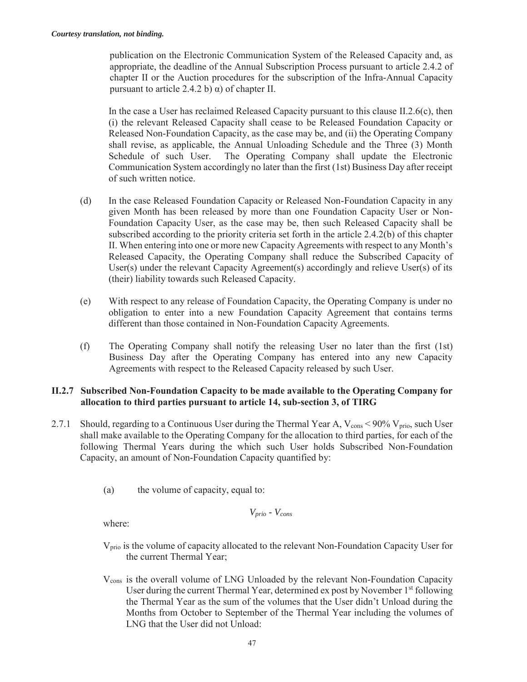publication on the Electronic Communication System of the Released Capacity and, as appropriate, the deadline of the Annual Subscription Process pursuant to article 2.4.2 of chapter II or the Auction procedures for the subscription of the Infra-Annual Capacity pursuant to article 2.4.2 b) α) of chapter II.

In the case a User has reclaimed Released Capacity pursuant to this clause II.2.6(c), then (i) the relevant Released Capacity shall cease to be Released Foundation Capacity or Released Non-Foundation Capacity, as the case may be, and (ii) the Operating Company shall revise, as applicable, the Annual Unloading Schedule and the Three (3) Month Schedule of such User. The Operating Company shall update the Electronic Communication System accordingly no later than the first (1st) Business Day after receipt of such written notice.

- (d) In the case Released Foundation Capacity or Released Non-Foundation Capacity in any given Month has been released by more than one Foundation Capacity User or Non-Foundation Capacity User, as the case may be, then such Released Capacity shall be subscribed according to the priority criteria set forth in the article 2.4.2(b) of this chapter II. When entering into one or more new Capacity Agreements with respect to any Month's Released Capacity, the Operating Company shall reduce the Subscribed Capacity of User(s) under the relevant Capacity Agreement(s) accordingly and relieve User(s) of its (their) liability towards such Released Capacity.
- (e) With respect to any release of Foundation Capacity, the Operating Company is under no obligation to enter into a new Foundation Capacity Agreement that contains terms different than those contained in Non-Foundation Capacity Agreements.
- (f) The Operating Company shall notify the releasing User no later than the first (1st) Business Day after the Operating Company has entered into any new Capacity Agreements with respect to the Released Capacity released by such User.

# **II.2.7 Subscribed Non-Foundation Capacity to be made available to the Operating Company for allocation to third parties pursuant to article 14, sub-section 3, of TIRG**

- 2.7.1 Should, regarding to a Continuous User during the Thermal Year A,  $V_{\text{cons}}$  < 90%  $V_{\text{prior}}$ , such User shall make available to the Operating Company for the allocation to third parties, for each of the following Thermal Years during the which such User holds Subscribed Non-Foundation Capacity, an amount of Non-Foundation Capacity quantified by:
	- (a) the volume of capacity, equal to:

$$
V_{prio} \sim V_{cons}
$$

where:

- Vprio is the volume of capacity allocated to the relevant Non-Foundation Capacity User for the current Thermal Year;
- Vcons is the overall volume of LNG Unloaded by the relevant Non-Foundation Capacity User during the current Thermal Year, determined ex post by November  $1<sup>st</sup>$  following the Thermal Year as the sum of the volumes that the User didn't Unload during the Months from October to September of the Thermal Year including the volumes of LNG that the User did not Unload: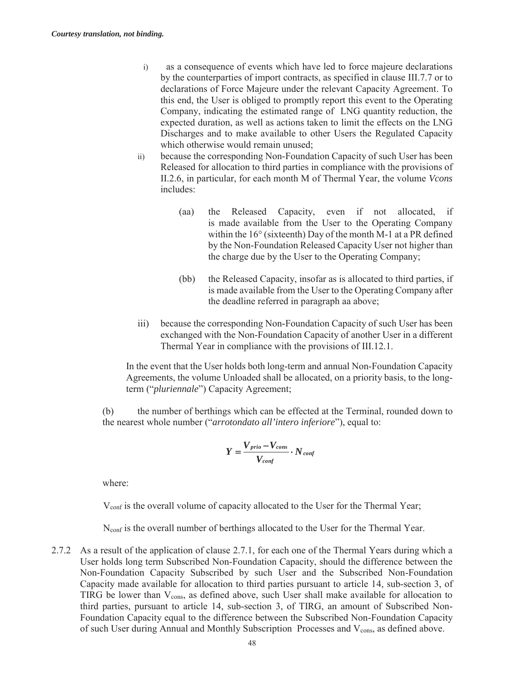- i) as a consequence of events which have led to force majeure declarations by the counterparties of import contracts, as specified in clause III.7.7 or to declarations of Force Majeure under the relevant Capacity Agreement. To this end, the User is obliged to promptly report this event to the Operating Company, indicating the estimated range of LNG quantity reduction, the expected duration, as well as actions taken to limit the effects on the LNG Discharges and to make available to other Users the Regulated Capacity which otherwise would remain unused;
- ii) because the corresponding Non-Foundation Capacity of such User has been Released for allocation to third parties in compliance with the provisions of II.2.6, in particular, for each month M of Thermal Year, the volume *Vcons* includes:
	- (aa) the Released Capacity, even if not allocated, if is made available from the User to the Operating Company within the 16° (sixteenth) Day of the month M-1 at a PR defined by the Non-Foundation Released Capacity User not higher than the charge due by the User to the Operating Company;
	- (bb) the Released Capacity, insofar as is allocated to third parties, if is made available from the User to the Operating Company after the deadline referred in paragraph aa above;
- iii) because the corresponding Non-Foundation Capacity of such User has been exchanged with the Non-Foundation Capacity of another User in a different Thermal Year in compliance with the provisions of III.12.1.

In the event that the User holds both long-term and annual Non-Foundation Capacity Agreements, the volume Unloaded shall be allocated, on a priority basis, to the longterm ("*pluriennale*") Capacity Agreement;

(b) the number of berthings which can be effected at the Terminal, rounded down to the nearest whole number ("*arrotondato all'intero inferiore*"), equal to:

$$
Y = \frac{V_{prio} - V_{cons}}{V_{conf}} \cdot N_{conf}
$$

where:

Vconf is the overall volume of capacity allocated to the User for the Thermal Year;

Nconf is the overall number of berthings allocated to the User for the Thermal Year.

2.7.2 As a result of the application of clause 2.7.1, for each one of the Thermal Years during which a User holds long term Subscribed Non-Foundation Capacity, should the difference between the Non-Foundation Capacity Subscribed by such User and the Subscribed Non-Foundation Capacity made available for allocation to third parties pursuant to article 14, sub-section 3, of TIRG be lower than V<sub>cons</sub>, as defined above, such User shall make available for allocation to third parties, pursuant to article 14, sub-section 3, of TIRG, an amount of Subscribed Non-Foundation Capacity equal to the difference between the Subscribed Non-Foundation Capacity of such User during Annual and Monthly Subscription Processes and V<sub>cons</sub>, as defined above.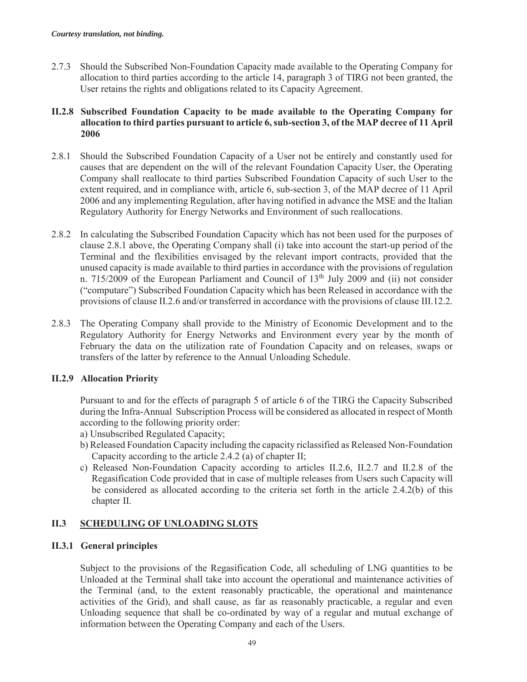2.7.3 Should the Subscribed Non-Foundation Capacity made available to the Operating Company for allocation to third parties according to the article 14, paragraph 3 of TIRG not been granted, the User retains the rights and obligations related to its Capacity Agreement.

# **II.2.8 Subscribed Foundation Capacity to be made available to the Operating Company for allocation to third parties pursuant to article 6, sub-section 3, of the MAP decree of 11 April 2006**

- 2.8.1 Should the Subscribed Foundation Capacity of a User not be entirely and constantly used for causes that are dependent on the will of the relevant Foundation Capacity User, the Operating Company shall reallocate to third parties Subscribed Foundation Capacity of such User to the extent required, and in compliance with, article 6, sub-section 3, of the MAP decree of 11 April 2006 and any implementing Regulation, after having notified in advance the MSE and the Italian Regulatory Authority for Energy Networks and Environment of such reallocations.
- 2.8.2 In calculating the Subscribed Foundation Capacity which has not been used for the purposes of clause 2.8.1 above, the Operating Company shall (i) take into account the start-up period of the Terminal and the flexibilities envisaged by the relevant import contracts, provided that the unused capacity is made available to third parties in accordance with the provisions of regulation n. 715/2009 of the European Parliament and Council of  $13<sup>th</sup>$  July 2009 and (ii) not consider ("computare") Subscribed Foundation Capacity which has been Released in accordance with the provisions of clause II.2.6 and/or transferred in accordance with the provisions of clause III.12.2*.*
- 2.8.3 The Operating Company shall provide to the Ministry of Economic Development and to the Regulatory Authority for Energy Networks and Environment every year by the month of February the data on the utilization rate of Foundation Capacity and on releases, swaps or transfers of the latter by reference to the Annual Unloading Schedule.

# **II.2.9 Allocation Priority**

Pursuant to and for the effects of paragraph 5 of article 6 of the TIRG the Capacity Subscribed during the Infra-Annual Subscription Process will be considered as allocated in respect of Month according to the following priority order:

- a) Unsubscribed Regulated Capacity;
- b) Released Foundation Capacity including the capacity riclassified as Released Non-Foundation Capacity according to the article 2.4.2 (a) of chapter II;
- c) Released Non-Foundation Capacity according to articles II.2.6, II.2.7 and II.2.8 of the Regasification Code provided that in case of multiple releases from Users such Capacity will be considered as allocated according to the criteria set forth in the article 2.4.2(b) of this chapter II.

# **II.3 SCHEDULING OF UNLOADING SLOTS**

# **II.3.1 General principles**

Subject to the provisions of the Regasification Code, all scheduling of LNG quantities to be Unloaded at the Terminal shall take into account the operational and maintenance activities of the Terminal (and, to the extent reasonably practicable, the operational and maintenance activities of the Grid), and shall cause, as far as reasonably practicable, a regular and even Unloading sequence that shall be co-ordinated by way of a regular and mutual exchange of information between the Operating Company and each of the Users.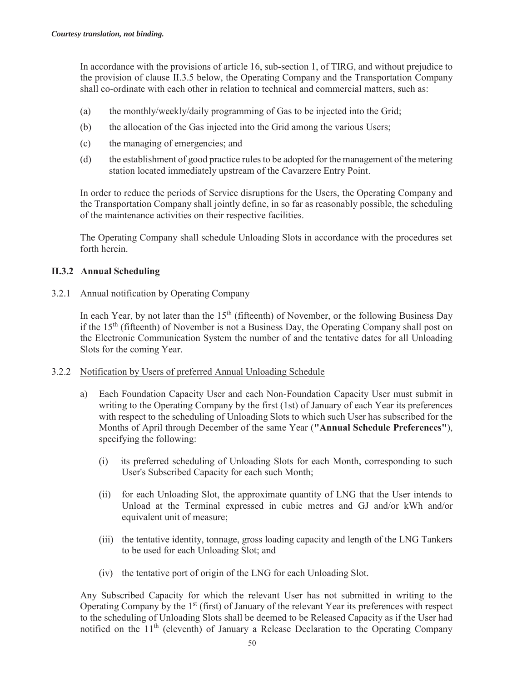In accordance with the provisions of article 16, sub-section 1, of TIRG, and without prejudice to the provision of clause II.3.5 below, the Operating Company and the Transportation Company shall co-ordinate with each other in relation to technical and commercial matters, such as:

- (a) the monthly/weekly/daily programming of Gas to be injected into the Grid;
- (b) the allocation of the Gas injected into the Grid among the various Users;
- (c) the managing of emergencies; and
- (d) the establishment of good practice rules to be adopted for the management of the metering station located immediately upstream of the Cavarzere Entry Point.

In order to reduce the periods of Service disruptions for the Users, the Operating Company and the Transportation Company shall jointly define, in so far as reasonably possible, the scheduling of the maintenance activities on their respective facilities.

The Operating Company shall schedule Unloading Slots in accordance with the procedures set forth herein.

## **II.3.2 Annual Scheduling**

3.2.1 Annual notification by Operating Company

In each Year, by not later than the  $15<sup>th</sup>$  (fifteenth) of November, or the following Business Day if the  $15<sup>th</sup>$  (fifteenth) of November is not a Business Day, the Operating Company shall post on the Electronic Communication System the number of and the tentative dates for all Unloading Slots for the coming Year.

- 3.2.2 Notification by Users of preferred Annual Unloading Schedule
	- a) Each Foundation Capacity User and each Non-Foundation Capacity User must submit in writing to the Operating Company by the first (1st) of January of each Year its preferences with respect to the scheduling of Unloading Slots to which such User has subscribed for the Months of April through December of the same Year (**"Annual Schedule Preferences"**), specifying the following:
		- (i) its preferred scheduling of Unloading Slots for each Month, corresponding to such User's Subscribed Capacity for each such Month;
		- (ii) for each Unloading Slot, the approximate quantity of LNG that the User intends to Unload at the Terminal expressed in cubic metres and GJ and/or kWh and/or equivalent unit of measure;
		- (iii) the tentative identity, tonnage, gross loading capacity and length of the LNG Tankers to be used for each Unloading Slot; and
		- (iv) the tentative port of origin of the LNG for each Unloading Slot.

Any Subscribed Capacity for which the relevant User has not submitted in writing to the Operating Company by the 1<sup>st</sup> (first) of January of the relevant Year its preferences with respect to the scheduling of Unloading Slots shall be deemed to be Released Capacity as if the User had notified on the  $11<sup>th</sup>$  (eleventh) of January a Release Declaration to the Operating Company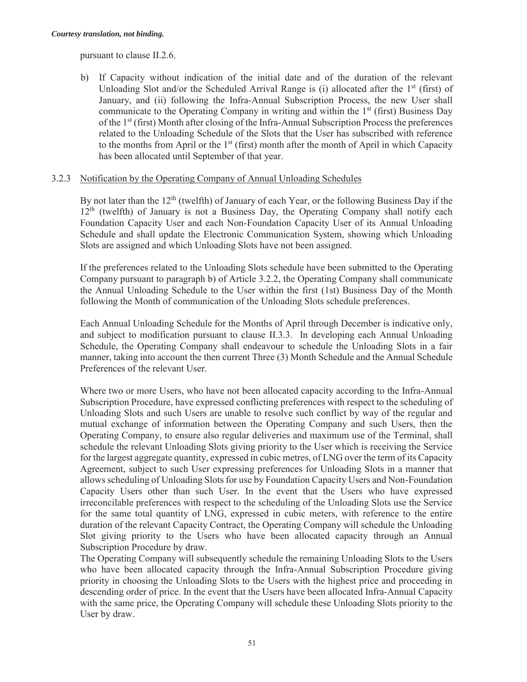pursuant to clause II.2.6.

b) If Capacity without indication of the initial date and of the duration of the relevant Unloading Slot and/or the Scheduled Arrival Range is (i) allocated after the  $1<sup>st</sup>$  (first) of January, and (ii) following the Infra-Annual Subscription Process, the new User shall communicate to the Operating Company in writing and within the  $1<sup>st</sup>$  (first) Business Day of the 1st (first) Month after closing of the Infra-Annual Subscription Process the preferences related to the Unloading Schedule of the Slots that the User has subscribed with reference to the months from April or the  $1<sup>st</sup>$  (first) month after the month of April in which Capacity has been allocated until September of that year.

## 3.2.3 Notification by the Operating Company of Annual Unloading Schedules

By not later than the  $12<sup>th</sup>$  (twelfth) of January of each Year, or the following Business Day if the  $12<sup>th</sup>$  (twelfth) of January is not a Business Day, the Operating Company shall notify each Foundation Capacity User and each Non-Foundation Capacity User of its Annual Unloading Schedule and shall update the Electronic Communication System, showing which Unloading Slots are assigned and which Unloading Slots have not been assigned.

If the preferences related to the Unloading Slots schedule have been submitted to the Operating Company pursuant to paragraph b) of Article 3.2.2, the Operating Company shall communicate the Annual Unloading Schedule to the User within the first (1st) Business Day of the Month following the Month of communication of the Unloading Slots schedule preferences.

Each Annual Unloading Schedule for the Months of April through December is indicative only, and subject to modification pursuant to clause II.3.3. In developing each Annual Unloading Schedule, the Operating Company shall endeavour to schedule the Unloading Slots in a fair manner, taking into account the then current Three (3) Month Schedule and the Annual Schedule Preferences of the relevant User.

Where two or more Users, who have not been allocated capacity according to the Infra-Annual Subscription Procedure, have expressed conflicting preferences with respect to the scheduling of Unloading Slots and such Users are unable to resolve such conflict by way of the regular and mutual exchange of information between the Operating Company and such Users, then the Operating Company, to ensure also regular deliveries and maximum use of the Terminal, shall schedule the relevant Unloading Slots giving priority to the User which is receiving the Service for the largest aggregate quantity, expressed in cubic metres, of LNG over the term of its Capacity Agreement, subject to such User expressing preferences for Unloading Slots in a manner that allows scheduling of Unloading Slots for use by Foundation Capacity Users and Non-Foundation Capacity Users other than such User. In the event that the Users who have expressed irreconcilable preferences with respect to the scheduling of the Unloading Slots use the Service for the same total quantity of LNG, expressed in cubic meters, with reference to the entire duration of the relevant Capacity Contract, the Operating Company will schedule the Unloading Slot giving priority to the Users who have been allocated capacity through an Annual Subscription Procedure by draw.

The Operating Company will subsequently schedule the remaining Unloading Slots to the Users who have been allocated capacity through the Infra-Annual Subscription Procedure giving priority in choosing the Unloading Slots to the Users with the highest price and proceeding in descending order of price. In the event that the Users have been allocated Infra-Annual Capacity with the same price, the Operating Company will schedule these Unloading Slots priority to the User by draw.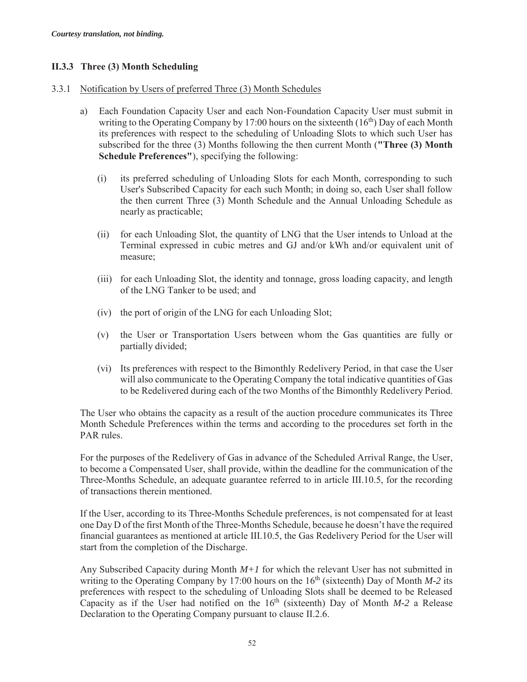# **II.3.3 Three (3) Month Scheduling**

## 3.3.1 Notification by Users of preferred Three (3) Month Schedules

- a) Each Foundation Capacity User and each Non-Foundation Capacity User must submit in writing to the Operating Company by 17:00 hours on the sixteenth  $(16<sup>th</sup>)$  Day of each Month its preferences with respect to the scheduling of Unloading Slots to which such User has subscribed for the three (3) Months following the then current Month (**"Three (3) Month Schedule Preferences"**), specifying the following:
	- (i) its preferred scheduling of Unloading Slots for each Month, corresponding to such User's Subscribed Capacity for each such Month; in doing so, each User shall follow the then current Three (3) Month Schedule and the Annual Unloading Schedule as nearly as practicable;
	- (ii) for each Unloading Slot, the quantity of LNG that the User intends to Unload at the Terminal expressed in cubic metres and GJ and/or kWh and/or equivalent unit of measure;
	- (iii) for each Unloading Slot, the identity and tonnage, gross loading capacity, and length of the LNG Tanker to be used; and
	- (iv) the port of origin of the LNG for each Unloading Slot;
	- (v) the User or Transportation Users between whom the Gas quantities are fully or partially divided;
	- (vi) Its preferences with respect to the Bimonthly Redelivery Period, in that case the User will also communicate to the Operating Company the total indicative quantities of Gas to be Redelivered during each of the two Months of the Bimonthly Redelivery Period.

The User who obtains the capacity as a result of the auction procedure communicates its Three Month Schedule Preferences within the terms and according to the procedures set forth in the PAR rules.

For the purposes of the Redelivery of Gas in advance of the Scheduled Arrival Range, the User, to become a Compensated User, shall provide, within the deadline for the communication of the Three-Months Schedule, an adequate guarantee referred to in article III.10.5, for the recording of transactions therein mentioned.

If the User, according to its Three-Months Schedule preferences, is not compensated for at least one Day D of the first Month of the Three-Months Schedule, because he doesn't have the required financial guarantees as mentioned at article III.10.5, the Gas Redelivery Period for the User will start from the completion of the Discharge.

Any Subscribed Capacity during Month *M+1* for which the relevant User has not submitted in writing to the Operating Company by 17:00 hours on the  $16<sup>th</sup>$  (sixteenth) Day of Month *M-2* its preferences with respect to the scheduling of Unloading Slots shall be deemed to be Released Capacity as if the User had notified on the  $16<sup>th</sup>$  (sixteenth) Day of Month *M*-2 a Release Declaration to the Operating Company pursuant to clause II.2.6.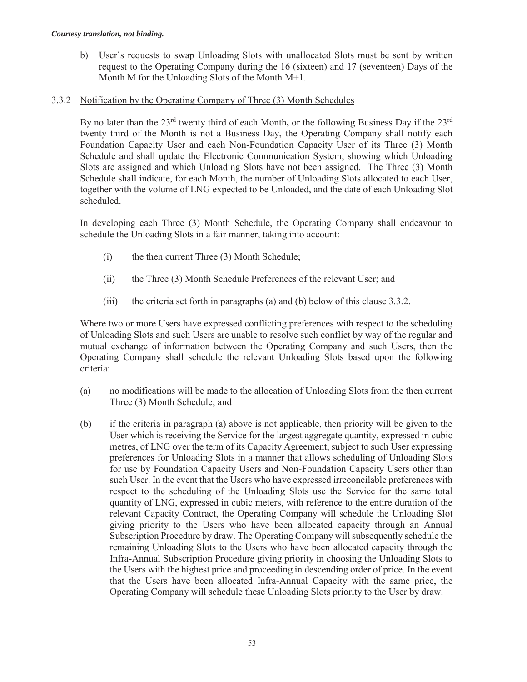b) User's requests to swap Unloading Slots with unallocated Slots must be sent by written request to the Operating Company during the 16 (sixteen) and 17 (seventeen) Days of the Month M for the Unloading Slots of the Month M+1.

## 3.3.2 Notification by the Operating Company of Three (3) Month Schedules

By no later than the 23<sup>rd</sup> twenty third of each Month, or the following Business Day if the 23<sup>rd</sup> twenty third of the Month is not a Business Day, the Operating Company shall notify each Foundation Capacity User and each Non-Foundation Capacity User of its Three (3) Month Schedule and shall update the Electronic Communication System, showing which Unloading Slots are assigned and which Unloading Slots have not been assigned. The Three (3) Month Schedule shall indicate, for each Month, the number of Unloading Slots allocated to each User, together with the volume of LNG expected to be Unloaded, and the date of each Unloading Slot scheduled.

In developing each Three (3) Month Schedule, the Operating Company shall endeavour to schedule the Unloading Slots in a fair manner, taking into account:

- (i) the then current Three (3) Month Schedule;
- (ii) the Three (3) Month Schedule Preferences of the relevant User; and
- (iii) the criteria set forth in paragraphs (a) and (b) below of this clause 3.3.2.

Where two or more Users have expressed conflicting preferences with respect to the scheduling of Unloading Slots and such Users are unable to resolve such conflict by way of the regular and mutual exchange of information between the Operating Company and such Users, then the Operating Company shall schedule the relevant Unloading Slots based upon the following criteria:

- (a) no modifications will be made to the allocation of Unloading Slots from the then current Three (3) Month Schedule; and
- (b) if the criteria in paragraph (a) above is not applicable, then priority will be given to the User which is receiving the Service for the largest aggregate quantity, expressed in cubic metres, of LNG over the term of its Capacity Agreement, subject to such User expressing preferences for Unloading Slots in a manner that allows scheduling of Unloading Slots for use by Foundation Capacity Users and Non-Foundation Capacity Users other than such User. In the event that the Users who have expressed irreconcilable preferences with respect to the scheduling of the Unloading Slots use the Service for the same total quantity of LNG, expressed in cubic meters, with reference to the entire duration of the relevant Capacity Contract, the Operating Company will schedule the Unloading Slot giving priority to the Users who have been allocated capacity through an Annual Subscription Procedure by draw. The Operating Company will subsequently schedule the remaining Unloading Slots to the Users who have been allocated capacity through the Infra-Annual Subscription Procedure giving priority in choosing the Unloading Slots to the Users with the highest price and proceeding in descending order of price. In the event that the Users have been allocated Infra-Annual Capacity with the same price, the Operating Company will schedule these Unloading Slots priority to the User by draw.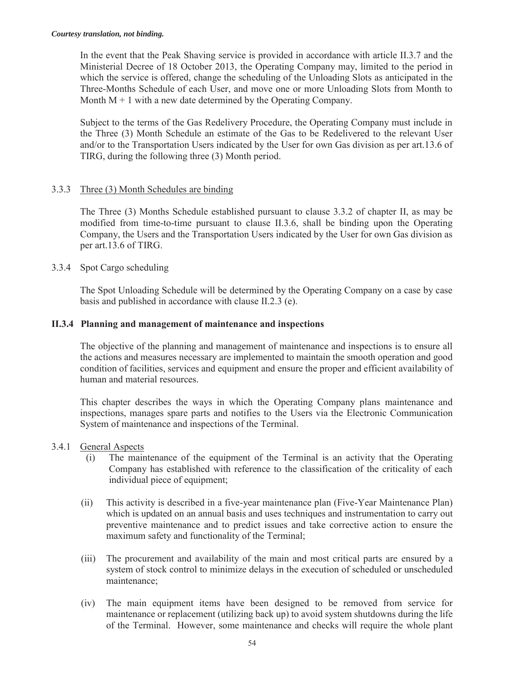In the event that the Peak Shaving service is provided in accordance with article II.3.7 and the Ministerial Decree of 18 October 2013, the Operating Company may, limited to the period in which the service is offered, change the scheduling of the Unloading Slots as anticipated in the Three-Months Schedule of each User, and move one or more Unloading Slots from Month to Month  $M + 1$  with a new date determined by the Operating Company.

Subject to the terms of the Gas Redelivery Procedure, the Operating Company must include in the Three (3) Month Schedule an estimate of the Gas to be Redelivered to the relevant User and/or to the Transportation Users indicated by the User for own Gas division as per art.13.6 of TIRG, during the following three (3) Month period.

# 3.3.3 Three (3) Month Schedules are binding

The Three (3) Months Schedule established pursuant to clause 3.3.2 of chapter II, as may be modified from time-to-time pursuant to clause II.3.6, shall be binding upon the Operating Company, the Users and the Transportation Users indicated by the User for own Gas division as per art.13.6 of TIRG.

3.3.4 Spot Cargo scheduling

The Spot Unloading Schedule will be determined by the Operating Company on a case by case basis and published in accordance with clause II.2.3 (e).

# **II.3.4 Planning and management of maintenance and inspections**

The objective of the planning and management of maintenance and inspections is to ensure all the actions and measures necessary are implemented to maintain the smooth operation and good condition of facilities, services and equipment and ensure the proper and efficient availability of human and material resources.

This chapter describes the ways in which the Operating Company plans maintenance and inspections, manages spare parts and notifies to the Users via the Electronic Communication System of maintenance and inspections of the Terminal.

# 3.4.1 General Aspects

- (i) The maintenance of the equipment of the Terminal is an activity that the Operating Company has established with reference to the classification of the criticality of each individual piece of equipment;
- (ii) This activity is described in a five-year maintenance plan (Five-Year Maintenance Plan) which is updated on an annual basis and uses techniques and instrumentation to carry out preventive maintenance and to predict issues and take corrective action to ensure the maximum safety and functionality of the Terminal;
- (iii) The procurement and availability of the main and most critical parts are ensured by a system of stock control to minimize delays in the execution of scheduled or unscheduled maintenance;
- (iv) The main equipment items have been designed to be removed from service for maintenance or replacement (utilizing back up) to avoid system shutdowns during the life of the Terminal. However, some maintenance and checks will require the whole plant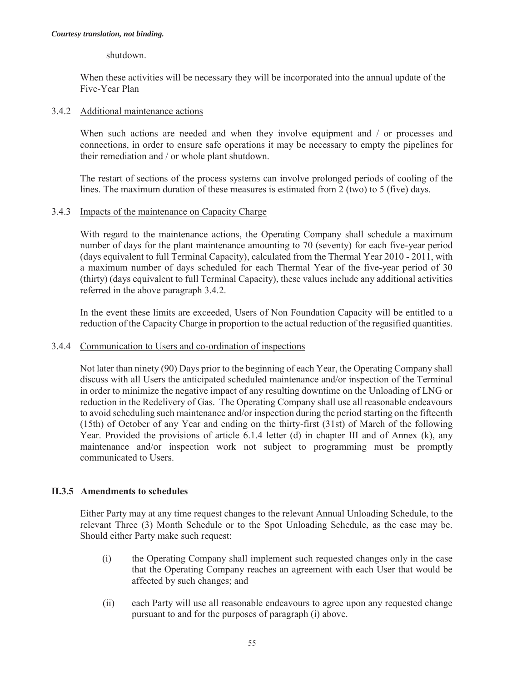## shutdown.

When these activities will be necessary they will be incorporated into the annual update of the Five-Year Plan

## 3.4.2 Additional maintenance actions

When such actions are needed and when they involve equipment and / or processes and connections, in order to ensure safe operations it may be necessary to empty the pipelines for their remediation and / or whole plant shutdown.

The restart of sections of the process systems can involve prolonged periods of cooling of the lines. The maximum duration of these measures is estimated from 2 (two) to 5 (five) days.

## 3.4.3 Impacts of the maintenance on Capacity Charge

With regard to the maintenance actions, the Operating Company shall schedule a maximum number of days for the plant maintenance amounting to 70 (seventy) for each five-year period (days equivalent to full Terminal Capacity), calculated from the Thermal Year 2010 - 2011, with a maximum number of days scheduled for each Thermal Year of the five-year period of 30 (thirty) (days equivalent to full Terminal Capacity), these values include any additional activities referred in the above paragraph 3.4.2.

In the event these limits are exceeded, Users of Non Foundation Capacity will be entitled to a reduction of the Capacity Charge in proportion to the actual reduction of the regasified quantities.

## 3.4.4 Communication to Users and co-ordination of inspections

Not later than ninety (90) Days prior to the beginning of each Year, the Operating Company shall discuss with all Users the anticipated scheduled maintenance and/or inspection of the Terminal in order to minimize the negative impact of any resulting downtime on the Unloading of LNG or reduction in the Redelivery of Gas. The Operating Company shall use all reasonable endeavours to avoid scheduling such maintenance and/or inspection during the period starting on the fifteenth (15th) of October of any Year and ending on the thirty-first (31st) of March of the following Year. Provided the provisions of article 6.1.4 letter (d) in chapter III and of Annex (k), any maintenance and/or inspection work not subject to programming must be promptly communicated to Users.

# **II.3.5 Amendments to schedules**

Either Party may at any time request changes to the relevant Annual Unloading Schedule, to the relevant Three (3) Month Schedule or to the Spot Unloading Schedule, as the case may be. Should either Party make such request:

- (i) the Operating Company shall implement such requested changes only in the case that the Operating Company reaches an agreement with each User that would be affected by such changes; and
- (ii) each Party will use all reasonable endeavours to agree upon any requested change pursuant to and for the purposes of paragraph (i) above.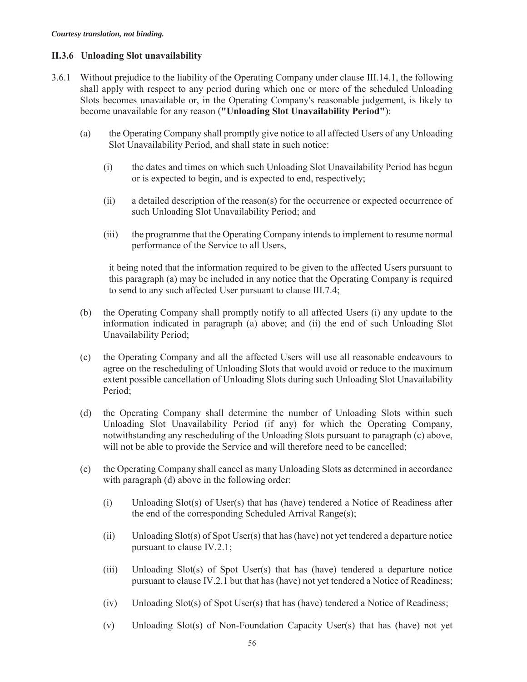# **II.3.6 Unloading Slot unavailability**

- 3.6.1 Without prejudice to the liability of the Operating Company under clause III.14.1, the following shall apply with respect to any period during which one or more of the scheduled Unloading Slots becomes unavailable or, in the Operating Company's reasonable judgement, is likely to become unavailable for any reason (**"Unloading Slot Unavailability Period"**):
	- (a) the Operating Company shall promptly give notice to all affected Users of any Unloading Slot Unavailability Period, and shall state in such notice:
		- (i) the dates and times on which such Unloading Slot Unavailability Period has begun or is expected to begin, and is expected to end, respectively;
		- (ii) a detailed description of the reason(s) for the occurrence or expected occurrence of such Unloading Slot Unavailability Period; and
		- (iii) the programme that the Operating Company intends to implement to resume normal performance of the Service to all Users,

it being noted that the information required to be given to the affected Users pursuant to this paragraph (a) may be included in any notice that the Operating Company is required to send to any such affected User pursuant to clause III.7.4;

- (b) the Operating Company shall promptly notify to all affected Users (i) any update to the information indicated in paragraph (a) above; and (ii) the end of such Unloading Slot Unavailability Period;
- (c) the Operating Company and all the affected Users will use all reasonable endeavours to agree on the rescheduling of Unloading Slots that would avoid or reduce to the maximum extent possible cancellation of Unloading Slots during such Unloading Slot Unavailability Period;
- (d) the Operating Company shall determine the number of Unloading Slots within such Unloading Slot Unavailability Period (if any) for which the Operating Company, notwithstanding any rescheduling of the Unloading Slots pursuant to paragraph (c) above, will not be able to provide the Service and will therefore need to be cancelled;
- (e) the Operating Company shall cancel as many Unloading Slots as determined in accordance with paragraph (d) above in the following order:
	- (i) Unloading Slot(s) of User(s) that has (have) tendered a Notice of Readiness after the end of the corresponding Scheduled Arrival Range(s);
	- (ii) Unloading Slot(s) of Spot User(s) that has (have) not yet tendered a departure notice pursuant to clause IV.2.1;
	- (iii) Unloading Slot(s) of Spot User(s) that has (have) tendered a departure notice pursuant to clause IV.2.1 but that has (have) not yet tendered a Notice of Readiness;
	- (iv) Unloading Slot(s) of Spot User(s) that has (have) tendered a Notice of Readiness;
	- (v) Unloading Slot(s) of Non-Foundation Capacity User(s) that has (have) not yet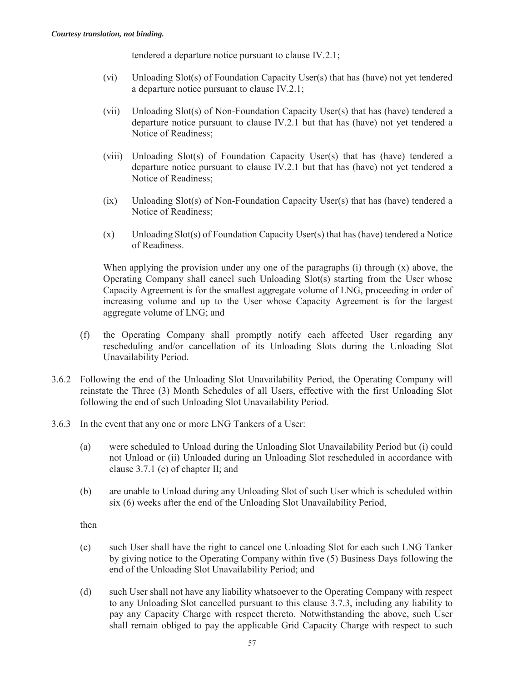tendered a departure notice pursuant to clause IV.2.1;

- (vi) Unloading Slot(s) of Foundation Capacity User(s) that has (have) not yet tendered a departure notice pursuant to clause IV.2.1;
- (vii) Unloading Slot(s) of Non-Foundation Capacity User(s) that has (have) tendered a departure notice pursuant to clause IV.2.1 but that has (have) not yet tendered a Notice of Readiness;
- (viii) Unloading Slot(s) of Foundation Capacity User(s) that has (have) tendered a departure notice pursuant to clause IV.2.1 but that has (have) not yet tendered a Notice of Readiness;
- (ix) Unloading Slot(s) of Non-Foundation Capacity User(s) that has (have) tendered a Notice of Readiness;
- (x) Unloading Slot(s) of Foundation Capacity User(s) that has (have) tendered a Notice of Readiness.

When applying the provision under any one of the paragraphs  $(i)$  through  $(x)$  above, the Operating Company shall cancel such Unloading  $Slot(s)$  starting from the User whose Capacity Agreement is for the smallest aggregate volume of LNG, proceeding in order of increasing volume and up to the User whose Capacity Agreement is for the largest aggregate volume of LNG; and

- (f) the Operating Company shall promptly notify each affected User regarding any rescheduling and/or cancellation of its Unloading Slots during the Unloading Slot Unavailability Period.
- 3.6.2 Following the end of the Unloading Slot Unavailability Period, the Operating Company will reinstate the Three (3) Month Schedules of all Users, effective with the first Unloading Slot following the end of such Unloading Slot Unavailability Period.
- 3.6.3 In the event that any one or more LNG Tankers of a User:
	- (a) were scheduled to Unload during the Unloading Slot Unavailability Period but (i) could not Unload or (ii) Unloaded during an Unloading Slot rescheduled in accordance with clause 3.7.1 (c) of chapter II; and
	- (b) are unable to Unload during any Unloading Slot of such User which is scheduled within six (6) weeks after the end of the Unloading Slot Unavailability Period,

then

- (c) such User shall have the right to cancel one Unloading Slot for each such LNG Tanker by giving notice to the Operating Company within five (5) Business Days following the end of the Unloading Slot Unavailability Period; and
- (d) such User shall not have any liability whatsoever to the Operating Company with respect to any Unloading Slot cancelled pursuant to this clause 3.7.3, including any liability to pay any Capacity Charge with respect thereto. Notwithstanding the above, such User shall remain obliged to pay the applicable Grid Capacity Charge with respect to such